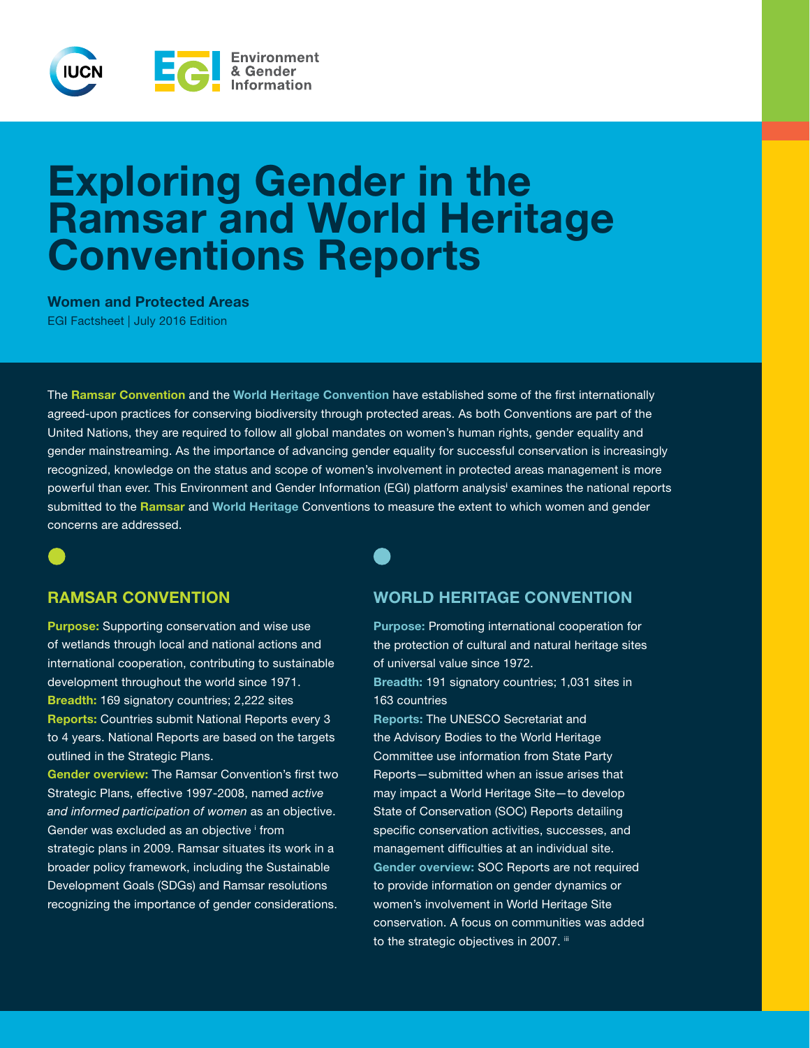

# Exploring Gender in the Ramsar and World Heritage Conventions Reports

Women and Protected Areas EGI Factsheet | July 2016 Edition

The Ramsar Convention and the World Heritage Convention have established some of the first internationally agreed-upon practices for conserving biodiversity through protected areas. As both Conventions are part of the United Nations, they are required to follow all global mandates on women's human rights, gender equality and gender mainstreaming. As the importance of advancing gender equality for successful conservation is increasingly recognized, knowledge on the status and scope of women's involvement in protected areas management is more powerful than ever. This Environment and Gender Information (EGI) platform analysis<sup>i</sup> examines the national reports submitted to the Ramsar and World Heritage Conventions to measure the extent to which women and gender concerns are addressed.

Purpose: Supporting conservation and wise use of wetlands through local and national actions and international cooperation, contributing to sustainable development throughout the world since 1971. Breadth: 169 signatory countries; 2,222 sites Reports: Countries submit National Reports every 3 to 4 years. National Reports are based on the targets outlined in the Strategic Plans.

Gender overview: The Ramsar Convention's first two Strategic Plans, effective 1997-2008, named *active and informed participation of women* as an objective. Gender was excluded as an objective i from strategic plans in 2009. Ramsar situates its work in a broader policy framework, including the Sustainable Development Goals (SDGs) and Ramsar resolutions recognizing the importance of gender considerations.

### RAMSAR CONVENTION WORLD HERITAGE CONVENTION

Purpose: Promoting international cooperation for the protection of cultural and natural heritage sites of universal value since 1972. Breadth: 191 signatory countries; 1,031 sites in 163 countries

Reports: The UNESCO Secretariat and the Advisory Bodies to the World Heritage Committee use information from State Party Reports—submitted when an issue arises that may impact a World Heritage Site—to develop State of Conservation (SOC) Reports detailing specific conservation activities, successes, and management difficulties at an individual site. Gender overview: SOC Reports are not required to provide information on gender dynamics or women's involvement in World Heritage Site conservation. A focus on communities was added to the strategic objectives in 2007. iii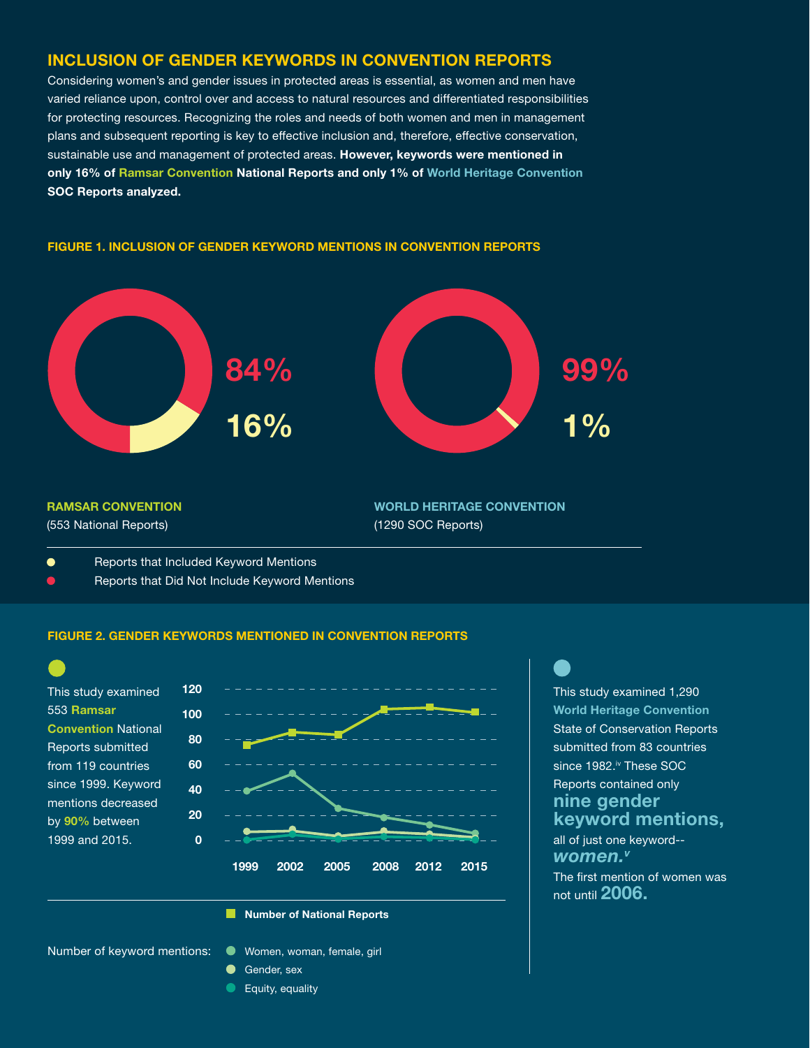#### INCLUSION OF GENDER KEYWORDS IN CONVENTION REPORTS

Considering women's and gender issues in protected areas is essential, as women and men have varied reliance upon, control over and access to natural resources and differentiated responsibilities for protecting resources. Recognizing the roles and needs of both women and men in management plans and subsequent reporting is key to effective inclusion and, therefore, effective conservation, sustainable use and management of protected areas. However, keywords were mentioned in only 16% of Ramsar Convention National Reports and only 1% of World Heritage Convention SOC Reports analyzed.

## WORLD HERITAGE CONVENTION (1290 SOC Reports) RAMSAR CONVENTION (553 National Reports) 84% 16% 99%  $10<sub>0</sub>$

#### FIGURE 1. INCLUSION OF GENDER KEYWORD MENTIONS IN CONVENTION REPORTS

- $\bullet$ Reports that Included Keyword Mentions
- Reports that Did Not Include Keyword Mentions  $\overline{\mathbf{C}}$

#### FIGURE 2. GENDER KEYWORDS MENTIONED IN CONVENTION REPORTS



#### **Number of National Reports**

Number of keyword mentions:

- Women, woman, female, girl
- Gender, sex
- $\bullet$ Equity, equality

This study examined 1,290 World Heritage Convention State of Conservation Reports submitted from 83 countries since 1982.<sup>iv</sup> These SOC Reports contained only nine gender keyword mentions, all of just one keyword--

The first mention of women was not until 2006. *women.v*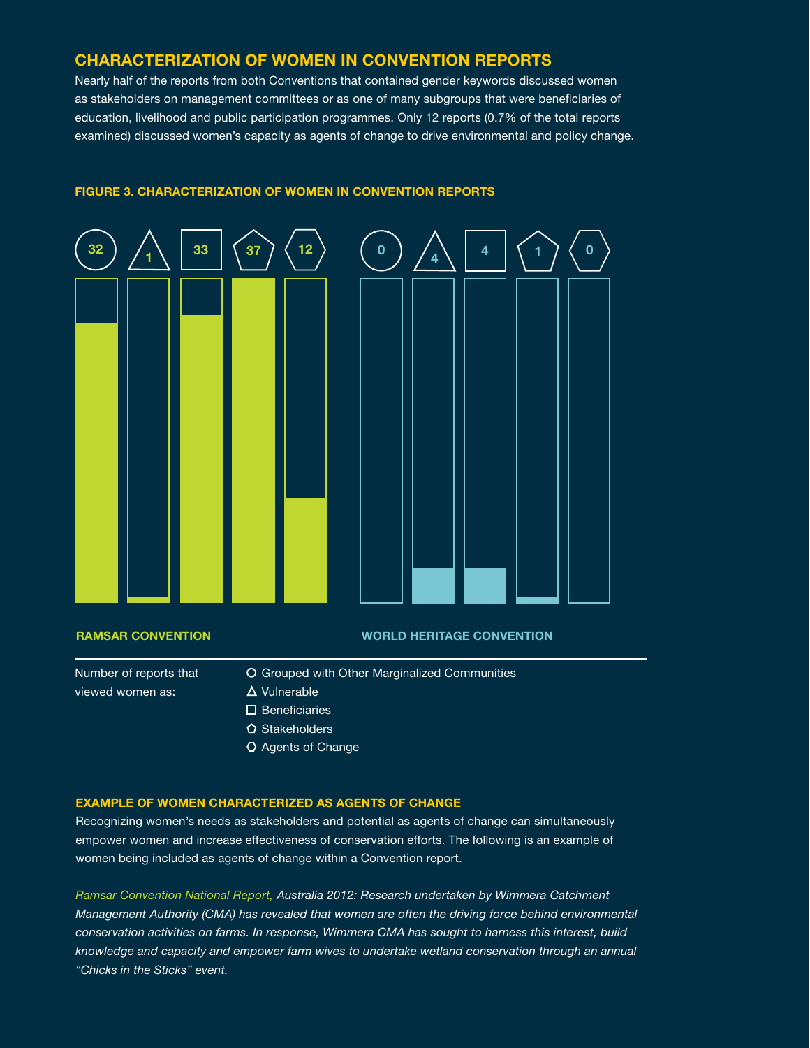#### CHARACTERIZATION OF WOMEN IN CONVENTION REPORTS

Nearly half of the reports from both Conventions that contained gender keywords discussed women as stakeholders on management committees or as one of many subgroups that were beneficiaries of education, livelihood and public participation programmes. Only 12 reports (0.7% of the total reports examined) discussed women's capacity as agents of change to drive environmental and policy change.



#### FIGURE 3. CHARACTERIZATION OF WOMEN IN CONVENTION REPORTS

#### RAMSAR CONVENTION WORLD HERITAGE CONVENTION

Number of reports that viewed women as:

- O Grouped with Other Marginalized Communities
- $\Delta$  Vulnerable
- $\square$  Beneficiaries
- $\Omega$  Stakeholders
- Agents of Change

#### EXAMPLE OF WOMEN CHARACTERIZED AS AGENTS OF CHANGE

Recognizing women's needs as stakeholders and potential as agents of change can simultaneously empower women and increase effectiveness of conservation efforts. The following is an example of women being included as agents of change within a Convention report.

*Ramsar Convention National Report, Australia 2012: Research undertaken by Wimmera Catchment Management Authority (CMA) has revealed that women are often the driving force behind environmental conservation activities on farms. In response, Wimmera CMA has sought to harness this interest, build knowledge and capacity and empower farm wives to undertake wetland conservation through an annual "Chicks in the Sticks" event.*